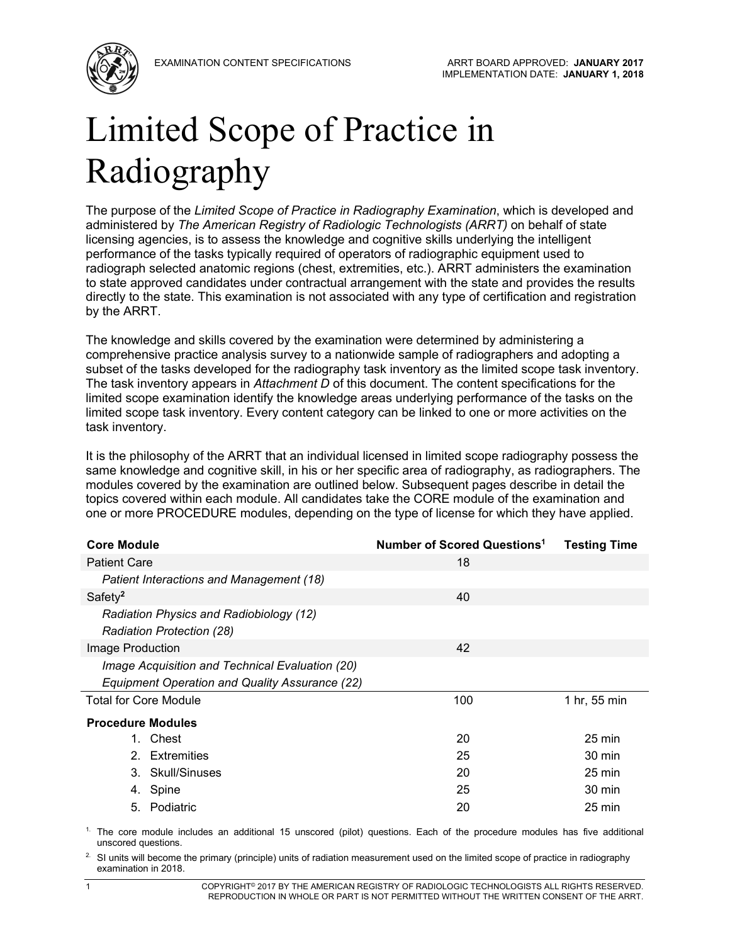

# Limited Scope of Practice in Radiography

The purpose of the *Limited Scope of Practice in Radiography Examination*, which is developed and administered by *The American Registry of Radiologic Technologists (ARRT)* on behalf of state licensing agencies, is to assess the knowledge and cognitive skills underlying the intelligent performance of the tasks typically required of operators of radiographic equipment used to radiograph selected anatomic regions (chest, extremities, etc.). ARRT administers the examination to state approved candidates under contractual arrangement with the state and provides the results directly to the state. This examination is not associated with any type of certification and registration by the ARRT.

The knowledge and skills covered by the examination were determined by administering a comprehensive practice analysis survey to a nationwide sample of radiographers and adopting a subset of the tasks developed for the radiography task inventory as the limited scope task inventory. The task inventory appears in *Attachment D* of this document. The content specifications for the limited scope examination identify the knowledge areas underlying performance of the tasks on the limited scope task inventory. Every content category can be linked to one or more activities on the task inventory.

It is the philosophy of the ARRT that an individual licensed in limited scope radiography possess the same knowledge and cognitive skill, in his or her specific area of radiography, as radiographers. The modules covered by the examination are outlined below. Subsequent pages describe in detail the topics covered within each module. All candidates take the CORE module of the examination and one or more PROCEDURE modules, depending on the type of license for which they have applied.

| <b>Core Module</b>                                                   | Number of Scored Questions <sup>1</sup> | <b>Testing Time</b> |
|----------------------------------------------------------------------|-----------------------------------------|---------------------|
| <b>Patient Care</b>                                                  | 18                                      |                     |
| Patient Interactions and Management (18)                             |                                         |                     |
| Safety <sup>2</sup>                                                  | 40                                      |                     |
| Radiation Physics and Radiobiology (12)<br>Radiation Protection (28) |                                         |                     |
| Image Production                                                     | 42                                      |                     |
| Image Acquisition and Technical Evaluation (20)                      |                                         |                     |
| Equipment Operation and Quality Assurance (22)                       |                                         |                     |
| <b>Total for Core Module</b>                                         | 100                                     | 1 hr, 55 min        |
| <b>Procedure Modules</b>                                             |                                         |                     |
| Chest<br>1.                                                          | 20                                      | 25 min              |
| 2 <sup>1</sup><br>Extremities                                        | 25                                      | 30 min              |
| 3. Skull/Sinuses                                                     | 20                                      | $25 \text{ min}$    |
| 4. Spine                                                             | 25                                      | 30 min              |
| 5. Podiatric                                                         | 20                                      | 25 min              |

 $1$ . The core module includes an additional 15 unscored (pilot) questions. Each of the procedure modules has five additional unscored questions.

<sup>2.</sup> SI units will become the primary (principle) units of radiation measurement used on the limited scope of practice in radiography examination in 2018.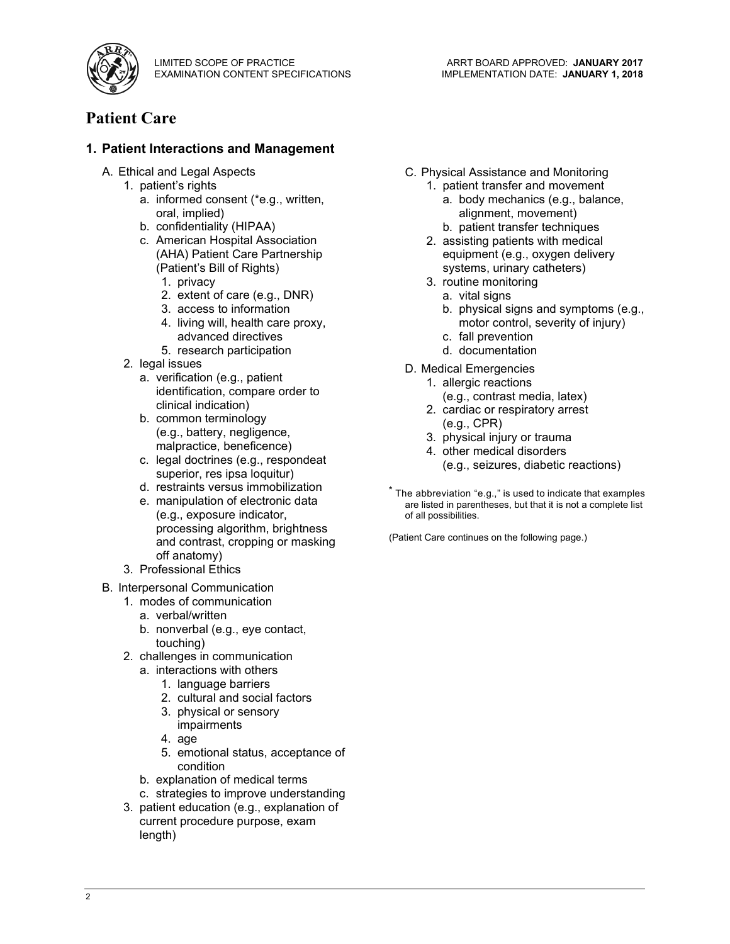

# **Patient Care**

#### **1. Patient Interactions and Management**

- A. Ethical and Legal Aspects
	- 1. patient's rights
		- a. informed consent (\*e.g., written, oral, implied)
		- b. confidentiality (HIPAA)
		- c. American Hospital Association (AHA) Patient Care Partnership (Patient's Bill of Rights)
			- 1. privacy
			- 2. extent of care (e.g., DNR)
			- 3. access to information
			- 4. living will, health care proxy, advanced directives
			- 5. research participation
	- 2. legal issues
		- a. verification (e.g., patient identification, compare order to clinical indication)
		- b. common terminology (e.g., battery, negligence, malpractice, beneficence)
		- c. legal doctrines (e.g., respondeat superior, res ipsa loquitur)
		- d. restraints versus immobilization
		- e. manipulation of electronic data (e.g., exposure indicator, processing algorithm, brightness and contrast, cropping or masking off anatomy)
	- 3. Professional Ethics
- B. Interpersonal Communication
	- 1. modes of communication
		- a. verbal/written
		- b. nonverbal (e.g., eye contact, touching)
	- 2. challenges in communication
		- a. interactions with others
			- 1. language barriers
			- 2. cultural and social factors
			- 3. physical or sensory impairments
			- 4. age
			- 5. emotional status, acceptance of condition
		- b. explanation of medical terms
		- c. strategies to improve understanding
	- 3. patient education (e.g., explanation of current procedure purpose, exam length)
- C. Physical Assistance and Monitoring
	- 1. patient transfer and movement
		- a. body mechanics (e.g., balance, alignment, movement)
		- b. patient transfer techniques
	- 2. assisting patients with medical equipment (e.g., oxygen delivery systems, urinary catheters)
	- 3. routine monitoring
		- a. vital signs
		- b. physical signs and symptoms (e.g., motor control, severity of injury)
		- c. fall prevention
		- d. documentation
- D. Medical Emergencies
	- 1. allergic reactions
	- (e.g., contrast media, latex) 2. cardiac or respiratory arrest
	- (e.g., CPR)
	- 3. physical injury or trauma
	- 4. other medical disorders (e.g., seizures, diabetic reactions)
- $^*$  The abbreviation "e.g.," is used to indicate that examples are listed in parentheses, but that it is not a complete list of all possibilities.

(Patient Care continues on the following page.)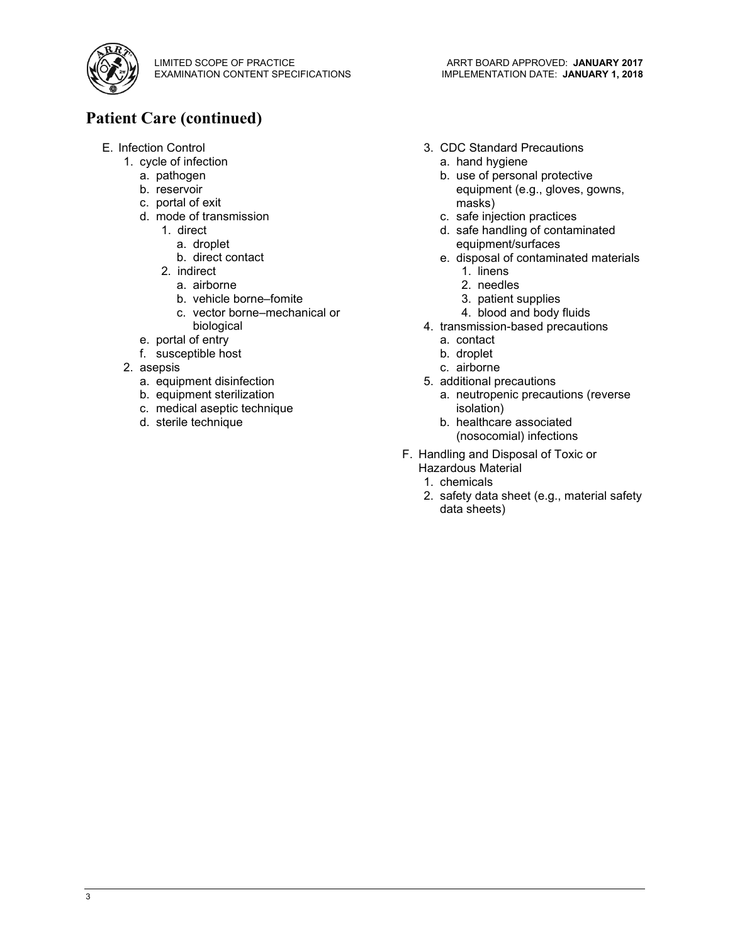

# **Patient Care (continued)**

- E. Infection Control
	- 1. cycle of infection
		- a. pathogen
		- b. reservoir
		- c. portal of exit
		- d. mode of transmission
			- 1. direct
				- a. droplet
				- b. direct contact
			- 2. indirect
				- a. airborne
				- b. vehicle borne–fomite
				- c. vector borne–mechanical or biological
		- e. portal of entry
		- f. susceptible host
	- 2. asepsis
		- a. equipment disinfection
		- b. equipment sterilization
		- c. medical aseptic technique
		- d. sterile technique
- 3. CDC Standard Precautions
	- a. hand hygiene
	- b. use of personal protective equipment (e.g., gloves, gowns, masks)
	- c. safe injection practices
	- d. safe handling of contaminated equipment/surfaces
	- e. disposal of contaminated materials
		- 1. linens
		- 2. needles
		- 3. patient supplies
		- 4. blood and body fluids
- 4. transmission-based precautions
	- a. contact
	- b. droplet
	- c. airborne
- 5. additional precautions
	- a. neutropenic precautions (reverse isolation)
	- b. healthcare associated (nosocomial) infections
- F. Handling and Disposal of Toxic or Hazardous Material
	- 1. chemicals
	- 2. safety data sheet (e.g., material safety data sheets)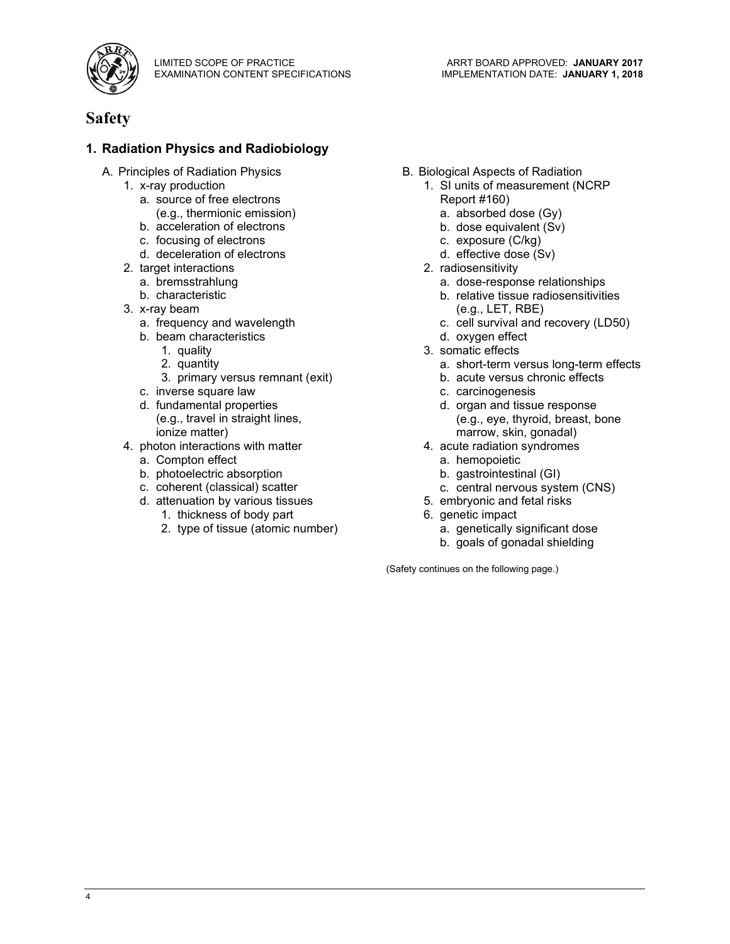

#### **1. Radiation Physics and Radiobiology**

- A. Principles of Radiation Physics
	- 1. x-ray production
		- a. source of free electrons (e.g., thermionic emission)
		- b. acceleration of electrons
		- c. focusing of electrons
		- d. deceleration of electrons
	- 2. target interactions
		- a. bremsstrahlung
		- b. characteristic
	- 3. x-ray beam
		- a. frequency and wavelength
		- b. beam characteristics
			- 1. quality
			- 2. quantity
			- 3. primary versus remnant (exit)
		- c. inverse square law
		- d. fundamental properties (e.g., travel in straight lines, ionize matter)
	- 4. photon interactions with matter
		- a. Compton effect
		- b. photoelectric absorption
		- c. coherent (classical) scatter
		- d. attenuation by various tissues
			- 1. thickness of body part
			- 2. type of tissue (atomic number)
- B. Biological Aspects of Radiation
	- 1. SI units of measurement (NCRP Report #160)

ARRT BOARD APPROVED: **JANUARY 2017** IMPLEMENTATION DATE: **JANUARY 1, 2018**

- a. absorbed dose (Gy)
- b. dose equivalent (Sv)
- c. exposure (C/kg)
- d. effective dose (Sv)
- 2. radiosensitivity
	- a. dose-response relationships
	- b. relative tissue radiosensitivities (e.g., LET, RBE)
	- c. cell survival and recovery (LD50)
	- d. oxygen effect
- 3. somatic effects
	- a. short-term versus long-term effects
	- b. acute versus chronic effects
	- c. carcinogenesis
	- d. organ and tissue response (e.g., eye, thyroid, breast, bone marrow, skin, gonadal)
- 4. acute radiation syndromes
	- a. hemopoietic
	- b. gastrointestinal (GI)
	- c. central nervous system (CNS)
- 5. embryonic and fetal risks
- 6. genetic impact
	- a. genetically significant dose
	- b. goals of gonadal shielding

(Safety continues on the following page.)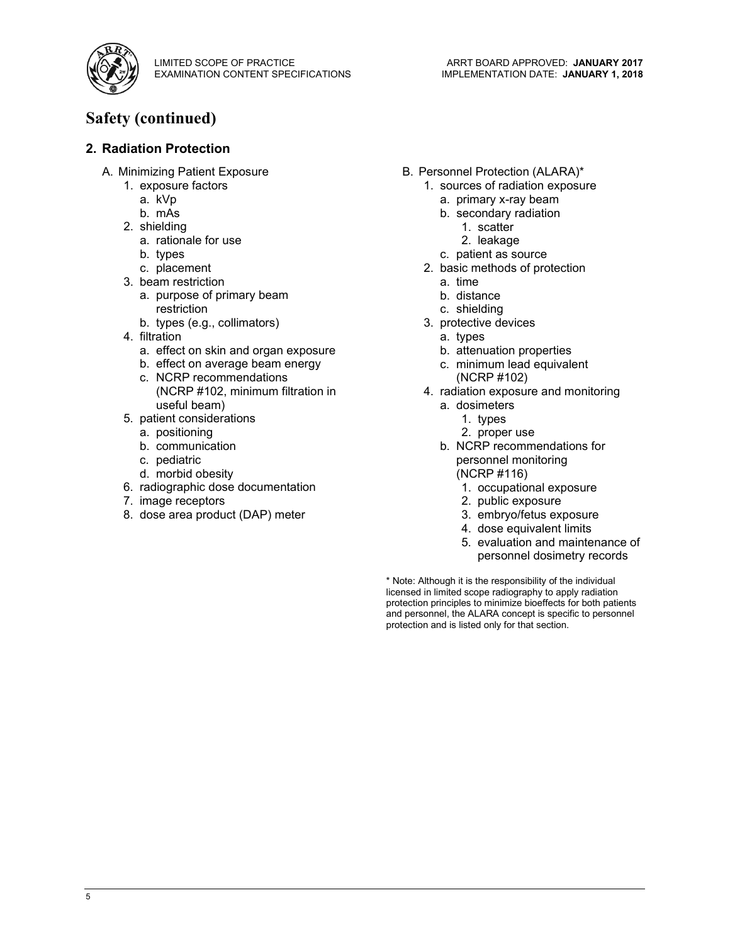

# **Safety (continued)**

#### **2. Radiation Protection**

- A. Minimizing Patient Exposure
	- 1. exposure factors
		- a. kVp
		- b. mAs
	- 2. shielding
		- a. rationale for use
		- b. types
		- c. placement
	- 3. beam restriction
		- a. purpose of primary beam restriction
		- b. types (e.g., collimators)
	- 4. filtration
		- a. effect on skin and organ exposure
		- b. effect on average beam energy c. NCRP recommendations (NCRP #102, minimum filtration in
	- useful beam) 5. patient considerations
		- a. positioning
		- b. communication
		- c. pediatric
		- d. morbid obesity
	- 6. radiographic dose documentation
	- 7. image receptors
	- 8. dose area product (DAP) meter
- B. Personnel Protection (ALARA)\*
	- 1. sources of radiation exposure
		- a. primary x-ray beam
		- b. secondary radiation
			- 1. scatter
			- 2. leakage
		- c. patient as source
	- 2. basic methods of protection
		- a. time
		- b. distance
		- c. shielding
	- 3. protective devices
		- a. types
		- b. attenuation properties
		- c. minimum lead equivalent (NCRP #102)
	- 4. radiation exposure and monitoring
		- a. dosimeters
			- 1. types
			- 2. proper use
		- b. NCRP recommendations for personnel monitoring (NCRP #116)
			- 1. occupational exposure
			- 2. public exposure
			- 3. embryo/fetus exposure
			- 4. dose equivalent limits
			- 5. evaluation and maintenance of personnel dosimetry records

\* Note: Although it is the responsibility of the individual licensed in limited scope radiography to apply radiation protection principles to minimize bioeffects for both patients and personnel, the ALARA concept is specific to personnel protection and is listed only for that section.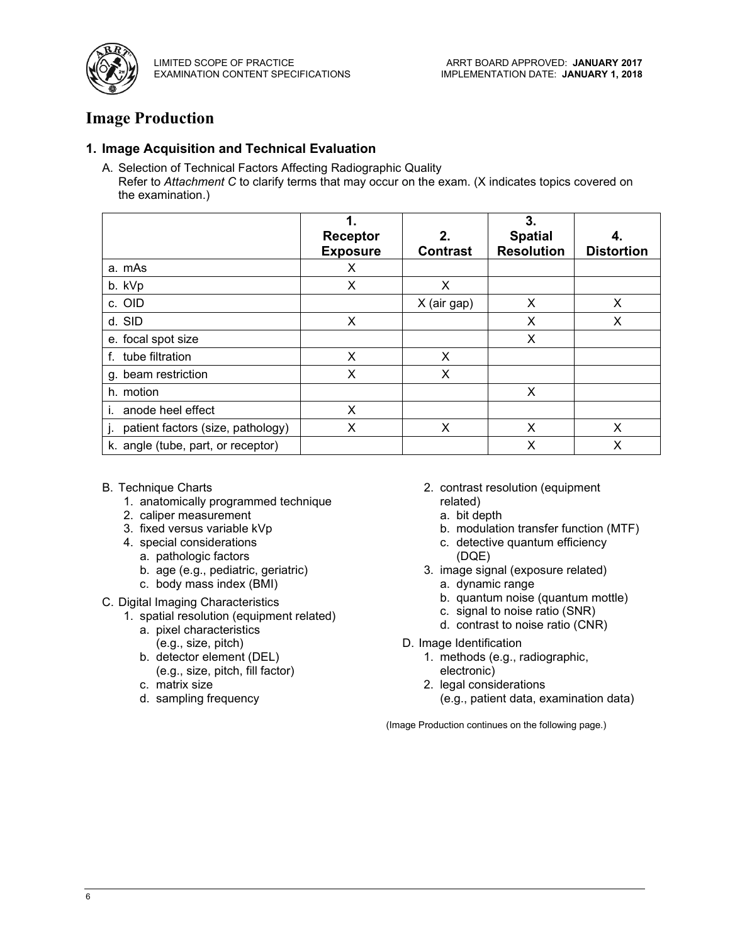

# **Image Production**

#### **1. Image Acquisition and Technical Evaluation**

A. Selection of Technical Factors Affecting Radiographic Quality Refer to *Attachment C* to clarify terms that may occur on the exam. (X indicates topics covered on the examination.)

|                                    | 1.<br><b>Receptor</b><br><b>Exposure</b> | 2.<br><b>Contrast</b> | 3.<br><b>Spatial</b><br><b>Resolution</b> | <b>Distortion</b> |
|------------------------------------|------------------------------------------|-----------------------|-------------------------------------------|-------------------|
| a. mAs                             | X                                        |                       |                                           |                   |
| b. kVp                             | X                                        | X                     |                                           |                   |
| c. OID                             |                                          | X (air gap)           | X                                         | X                 |
| d. SID                             | X                                        |                       | X                                         | х                 |
| e. focal spot size                 |                                          |                       | X                                         |                   |
| f. tube filtration                 | X                                        | X                     |                                           |                   |
| g. beam restriction                | X                                        | X                     |                                           |                   |
| h. motion                          |                                          |                       | X                                         |                   |
| anode heel effect                  | X                                        |                       |                                           |                   |
| patient factors (size, pathology)  | X                                        | X                     | X                                         | x                 |
| k. angle (tube, part, or receptor) |                                          |                       | Χ                                         | x                 |

- B. Technique Charts
	- 1. anatomically programmed technique
	- 2. caliper measurement
	- 3. fixed versus variable kVp
	- 4. special considerations
		- a. pathologic factors
		- b. age (e.g., pediatric, geriatric)
		- c. body mass index (BMI)
- C. Digital Imaging Characteristics
	- 1. spatial resolution (equipment related)
		- a. pixel characteristics (e.g., size, pitch)
		- b. detector element (DEL) (e.g., size, pitch, fill factor)
		- c. matrix size
		- d. sampling frequency
- 2. contrast resolution (equipment related)
	- a. bit depth
	- b. modulation transfer function (MTF)
	- c. detective quantum efficiency (DQE)
- 3. image signal (exposure related)
	- a. dynamic range
	- b. quantum noise (quantum mottle)
	- c. signal to noise ratio (SNR)
	- d. contrast to noise ratio (CNR)
- D. Image Identification
	- 1. methods (e.g., radiographic, electronic)
	- 2. legal considerations (e.g., patient data, examination data)

(Image Production continues on the following page.)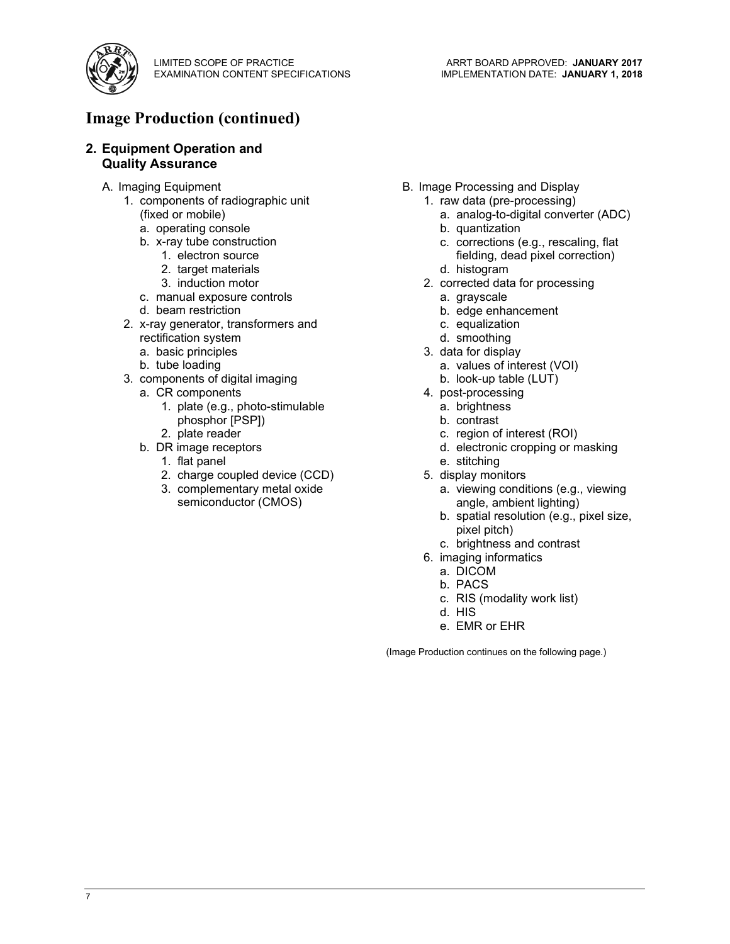

## **Image Production (continued)**

#### **2. Equipment Operation and Quality Assurance**

- A. Imaging Equipment
	- 1. components of radiographic unit (fixed or mobile)
		- a. operating console
		- b. x-ray tube construction
			- 1. electron source
			- 2. target materials
			- 3. induction motor
		- c. manual exposure controls
		- d. beam restriction
	- 2. x-ray generator, transformers and rectification system
		- a. basic principles
		- b. tube loading
	- 3. components of digital imaging
		- a. CR components
			- 1. plate (e.g., photo-stimulable phosphor [PSP])
		- 2. plate reader b. DR image receptors
			- 1. flat panel
			- 2. charge coupled device (CCD)
			- 3. complementary metal oxide
			- semiconductor (CMOS)
- B. Image Processing and Display
	- 1. raw data (pre-processing)
		- a. analog-to-digital converter (ADC)
		- b. quantization
		- c. corrections (e.g., rescaling, flat fielding, dead pixel correction)
		- d. histogram
	- 2. corrected data for processing
		- a. grayscale
		- b. edge enhancement
		- c. equalization
		- d. smoothing
	- 3. data for display
		- a. values of interest (VOI)
		- b. look-up table (LUT)
	- 4. post-processing
		- a. brightness
		- b. contrast
		- c. region of interest (ROI)
		- d. electronic cropping or masking
		- e. stitching
	- 5. display monitors
		- a. viewing conditions (e.g., viewing angle, ambient lighting)
		- b. spatial resolution (e.g., pixel size, pixel pitch)
		- c. brightness and contrast
	- 6. imaging informatics
		- a. DICOM
		- b. PACS
		- c. RIS (modality work list)
		- d. HIS
		- e. EMR or EHR

(Image Production continues on the following page.)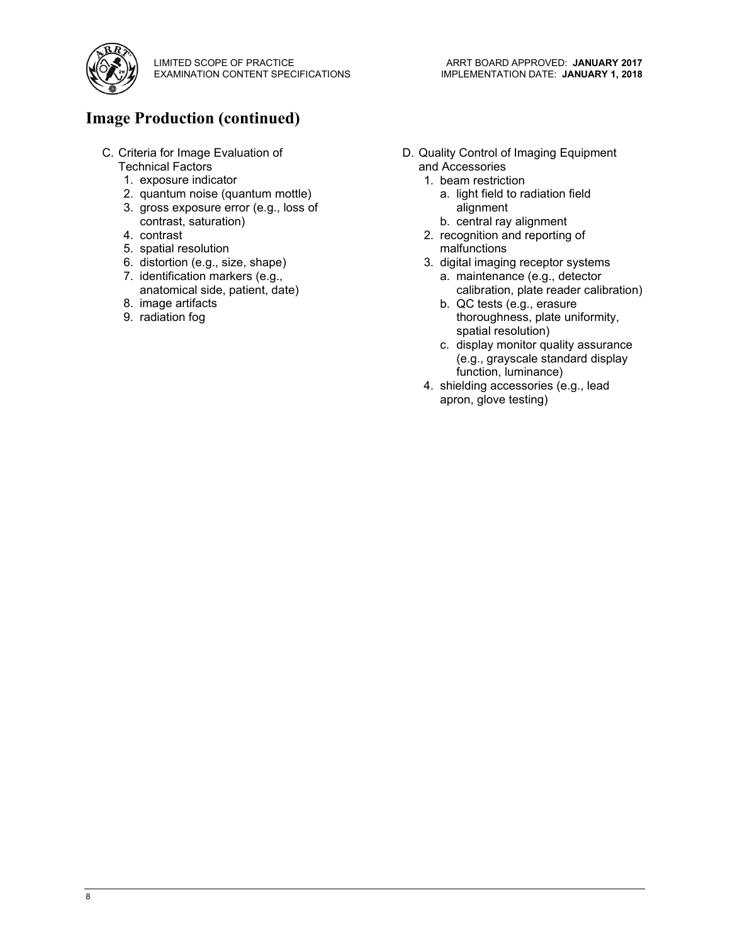

# **Image Production (continued)**

- C. Criteria for Image Evaluation of Technical Factors
	- 1. exposure indicator
	- 2. quantum noise (quantum mottle)
	- 3. gross exposure error (e.g., loss of contrast, saturation)
	- 4. contrast
	- 5. spatial resolution
	- 6. distortion (e.g., size, shape)
	- 7. identification markers (e.g., anatomical side, patient, date)
	- 8. image artifacts
	- 9. radiation fog
- D. Quality Control of Imaging Equipment and Accessories
	- 1. beam restriction
		- a. light field to radiation field alignment
		- b. central ray alignment
	- 2. recognition and reporting of malfunctions
	- 3. digital imaging receptor systems
		- a. maintenance (e.g., detector calibration, plate reader calibration)
		- b. QC tests (e.g., erasure thoroughness, plate uniformity, spatial resolution)
		- c. display monitor quality assurance (e.g., grayscale standard display function, luminance)
	- 4. shielding accessories (e.g., lead apron, glove testing)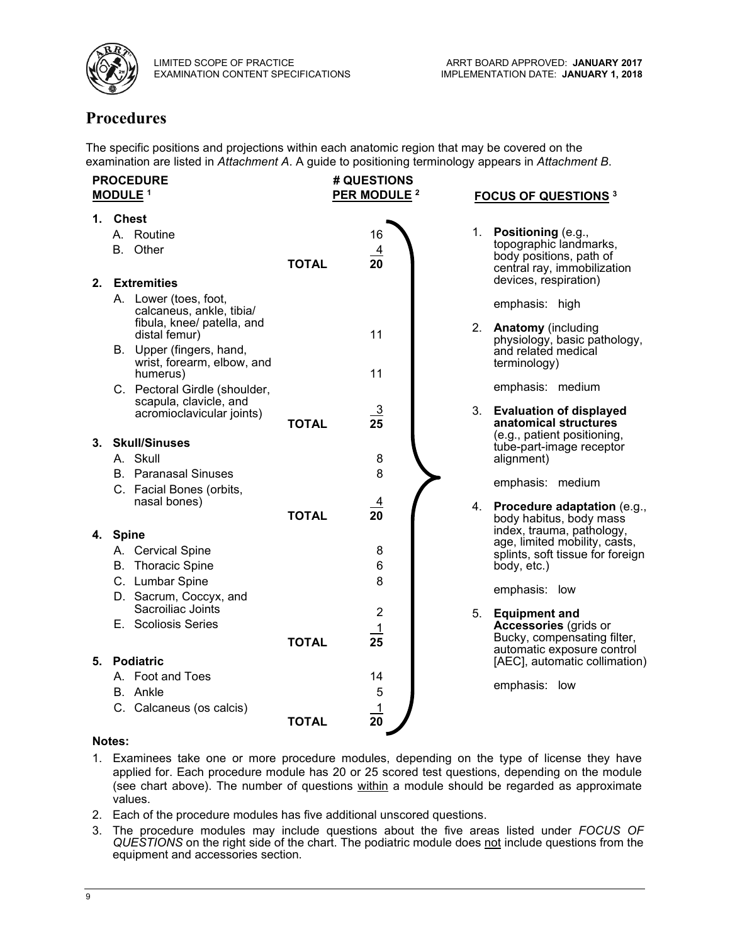

# **Procedures**

The specific positions and projections within each anatomic region that may be covered on the examination are listed in *Attachment A*. A guide to positioning terminology appears in *Attachment B*.

|    |          | <b>PROCEDURE</b><br>MODULE <sup>1</sup>                                         |              | # QUESTIONS<br>PER MODULE <sup>2</sup> |    | <b>FOCUS OF QUESTIONS 3</b>                                                            |
|----|----------|---------------------------------------------------------------------------------|--------------|----------------------------------------|----|----------------------------------------------------------------------------------------|
|    | 1. Chest |                                                                                 |              |                                        |    |                                                                                        |
|    |          | A. Routine                                                                      |              | 16                                     |    | 1. Positioning (e.g.,<br>topographic landmarks,                                        |
|    |          | B. Other                                                                        | <b>TOTAL</b> | $\overline{4}$<br>20                   |    | body positions, path of<br>central ray, immobilization                                 |
| 2. |          | <b>Extremities</b>                                                              |              |                                        |    | devices, respiration)                                                                  |
|    |          | A. Lower (toes, foot,<br>calcaneus, ankle, tibia/<br>fibula, knee/ patella, and |              |                                        | 2. | emphasis: high<br><b>Anatomy</b> (including                                            |
|    |          | distal femur)                                                                   |              | 11                                     |    | physiology, basic pathology,                                                           |
|    |          | B. Upper (fingers, hand,<br>wrist, forearm, elbow, and<br>humerus)              |              | 11                                     |    | and related medical<br>terminology)                                                    |
|    |          | C. Pectoral Girdle (shoulder,                                                   |              |                                        |    | emphasis: medium                                                                       |
|    |          | scapula, clavicle, and<br>acromioclavicular joints)                             | <b>TOTAL</b> | <u>_3</u><br>25                        | 3. | <b>Evaluation of displayed</b><br>anatomical structures<br>(e.g., patient positioning, |
|    |          | 3. Skull/Sinuses                                                                |              |                                        |    | tube-part-image receptor                                                               |
|    |          | A. Skull                                                                        |              | 8                                      |    | alignment)                                                                             |
|    |          | <b>B.</b> Paranasal Sinuses                                                     |              | 8                                      |    | emphasis: medium                                                                       |
|    |          | C. Facial Bones (orbits,<br>nasal bones)                                        |              | <u>4</u>                               |    |                                                                                        |
|    |          |                                                                                 | <b>TOTAL</b> | 20                                     |    | 4. Procedure adaptation (e.g.,<br>body habitus, body mass                              |
|    | 4. Spine |                                                                                 |              |                                        |    | index, trauma, pathology,                                                              |
|    |          | A. Cervical Spine                                                               |              | 8                                      |    | age, limited mobility, casts,<br>splints, soft tissue for foreign                      |
|    |          | <b>B.</b> Thoracic Spine                                                        |              | 6                                      |    | body, etc.)                                                                            |
|    |          | C. Lumbar Spine                                                                 |              | 8                                      |    |                                                                                        |
|    |          | D. Sacrum, Coccyx, and<br>Sacroiliac Joints                                     |              | $\overline{2}$                         | 5. | emphasis: low<br><b>Equipment and</b>                                                  |
|    |          | E. Scoliosis Series                                                             |              | 1                                      |    | Accessories (grids or                                                                  |
|    |          |                                                                                 | <b>TOTAL</b> | 25                                     |    | Bucky, compensating filter,<br>automatic exposure control                              |
| 5. |          | <b>Podiatric</b><br>A. Foot and Toes                                            |              | 14                                     |    | [AEC], automatic collimation)                                                          |
|    |          | B. Ankle                                                                        |              | 5                                      |    | emphasis: low                                                                          |
|    |          | C. Calcaneus (os calcis)                                                        |              | $\overline{1}$                         |    |                                                                                        |
|    |          |                                                                                 | <b>TOTAL</b> | 20                                     |    |                                                                                        |

#### **Notes:**

- 1. Examinees take one or more procedure modules, depending on the type of license they have applied for. Each procedure module has 20 or 25 scored test questions, depending on the module (see chart above). The number of questions within a module should be regarded as approximate values.
- 2. Each of the procedure modules has five additional unscored questions.
- 3. The procedure modules may include questions about the five areas listed under *FOCUS OF QUESTIONS* on the right side of the chart. The podiatric module does not include questions from the equipment and accessories section.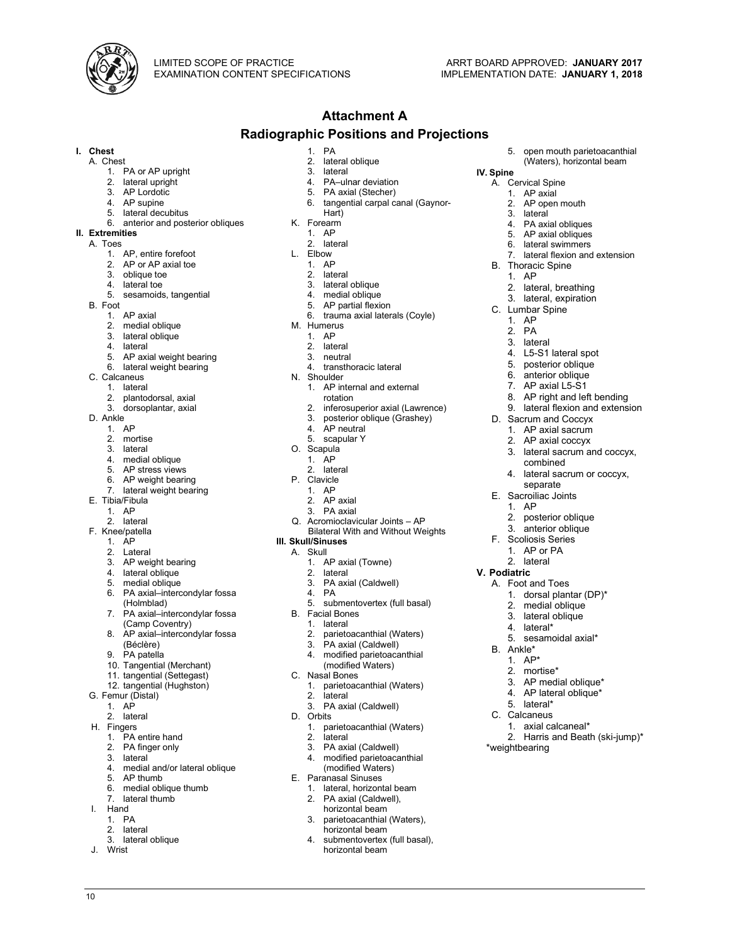

**IV. Spine**

A. Cervical Spine 1. AP axial 2. AP open mouth<br>3. lateral lateral 4. PA axial obliques 5. AP axial obliques 6. lateral swimmers

B. Thoracic Spine 1. AP

C. Lumbar Spine 1. AP 2. PA 3. lateral

2. lateral, breathing 3. lateral, expiration

4. L5-S1 lateral spot 5. posterior oblique 6. anterior oblique 7. AP axial L5-S1

D. Sacrum and Coccyx 1. AP axial sacrum 2. AP axial coccyx

combined

separate E. Sacroiliac Joints 1. AP

**V. Podiatric**

B. Ankle\* 1. AP\* 2. mortise\*

A. Foot and Toes

5. lateral\* C. Calcaneus

\*weightbearing

2. posterior oblique 3. anterior oblique F. Scoliosis Series 1. AP or PA 2. lateral

> 1. dorsal plantar (DP)\* 2. medial oblique 3. lateral oblique 4. lateral\*

5. sesamoidal axial\*

3. AP medial oblique\* 4. AP lateral oblique\*

1. axial calcaneal\*

2. Harris and Beath (ski-jump)\*

8. AP right and left bending 9. lateral flexion and extension

3. lateral sacrum and coccyx,

4. lateral sacrum or coccyx,

5. open mouth parietoacanthial (Waters), horizontal beam

lateral flexion and extension

#### **Attachment A**

#### **Radiographic Positions and Projections**

- **I. Chest**
	- A. Chest
		-
		- 1. PA or AP upright lateral upright
		- 3. AP Lordotic
		- 4. AP supine
		- 5. lateral decubitus
		- 6. anterior and posterior obliques
- **II. Extremities**
	- A. Toes
		- 1. AP, entire forefoot 2. AP or AP axial toe
		-
		- 3. oblique toe lateral toe
		- 5. sesamoids, tangential
	- B. Foot
		- 1. AP axial
		- 2. medial oblique
		-
		- 3. lateral oblique lateral
		- 5. AP axial weight bearing
		- 6. lateral weight bearing
	- C. Calcaneus
	- 1. lateral
		-
		- 2. plantodorsal, axial dorsoplantar, axial
	- D. Ankle
		- 1. AP
		- 2. mortise
		- 3. lateral
		- 4. medial oblique
		- 5. AP stress views
		- 6. AP weight bearing<br>7. lateral weight beari
		- lateral weight bearing
	- E. Tibia/Fibula
		- 1. AP
		- 2. lateral
	- F. Knee/patella
		- 1. AP
		- 2. Lateral
		- 3. AP weight bearing<br>4. lateral oblique
		- lateral oblique
		- 5. medial oblique
		- 6. PA axial–intercondylar fossa (Holmblad)
		- 7. PA axial–intercondylar fossa (Camp Coventry)
		- 8. AP axial–intercondylar fossa (Béclère)
		- 9. PA patella
		-
		- 10. Tangential (Merchant)
		- 11. tangential (Settegast) 12. tangential (Hughston)
	- G. Femur (Distal)
	- - 1. AP
	- 2. lateral H. Fingers
		- 1. PA entire hand
		-
		- 2. PA finger only
		- 3. lateral<br>4. medial
		- medial and/or lateral oblique
		- 5. AP thumb
		- 6. medial oblique thumb
		- lateral thumb
	- I. Hand
		- 1. PA
		- 2. lateral 3. lateral oblique
		-
	- J. Wrist

10

- 1. PA lateral oblique
- 3. lateral<br>4 PA-ulr PA-ulnar deviation
- 
- 5. PA axial (Stecher)<br>6. tangential carpal ca tangential carpal canal (Gaynor-
- Hart)
- K. Forearm
	- 1. AP
	- 2. lateral
- L. Elbow
	- 1. AP
	- 2. lateral
	- 3. lateral oblique
	- 4. medial oblique
	- 5. AP partial flexion
	- 6. trauma axial laterals (Coyle)
- M. Humerus
	- 1. AP
	- 2. lateral
- 3. neutral
	- 4. transthoracic lateral
- N. Shoulder
- - 1. AP internal and external rotation

Q. Acromioclavicular Joints – AP Bilateral With and Without Weights

1. AP axial (Towne) 2. lateral<br>3. PA axi

PA axial (Caldwell)

5. submentovertex (full basal)

2. parietoacanthial (Waters) 3. PA axial (Caldwell)<br>4 modified parietoaca modified parietoacanthial (modified Waters)

1. parietoacanthial (Waters)

1. parietoacanthial (Waters)

1. lateral, horizontal beam<br>2. PA axial (Caldwell), PA axial (Caldwell), horizontal beam 3. parietoacanthial (Waters), horizontal beam 4. submentovertex (full basal), horizontal beam

3. PA axial (Caldwell)

- 
- 2. inferosuperior axial (Lawrence)
- 3. posterior oblique (Grashey)
- AP neutral
- 5. scapular Y
- O. Scapula 1. AP 2. lateral

P. Clavicle 1. AP 2. AP axial 3. PA axial

**III. Skull/Sinuses** A. Skull

4. PA

B. Facial Bones 1. lateral

C. Nasal Bones

2. lateral

lateral 3. PA axial (Caldwell) modified parietoacanthial (modified Waters)

E. Paranasal Sinuses

D. Orbits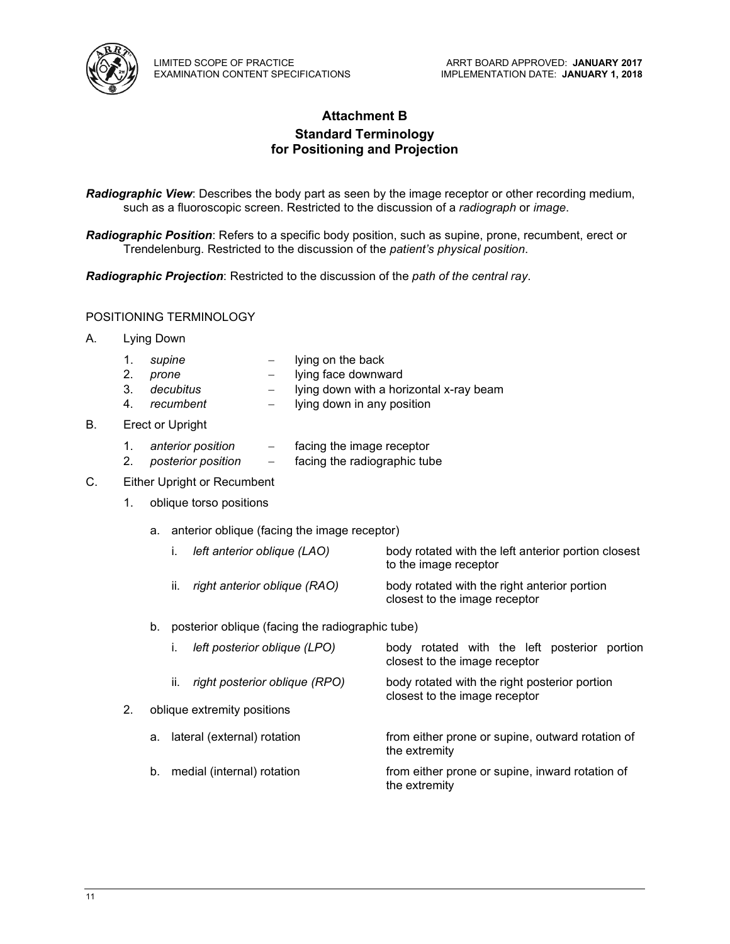

#### **Attachment B Standard Terminology for Positioning and Projection**

*Radiographic View*: Describes the body part as seen by the image receptor or other recording medium, such as a fluoroscopic screen. Restricted to the discussion of a *radiograph* or *image*.

*Radiographic Position*: Refers to a specific body position, such as supine, prone, recumbent, erect or Trendelenburg. Restricted to the discussion of the *patient's physical position*.

*Radiographic Projection*: Restricted to the discussion of the *path of the central ray*.

#### POSITIONING TERMINOLOGY

- A. Lying Down
	- 1. *supine* − lying on the back
	- 2. *prone* − lying face downward
	- 3. *decubitus* − lying down with a horizontal x-ray beam
	- 4. *recumbent* − lying down in any position
- B. Erect or Upright
	- 1. *anterior position* − facing the image receptor
	- 2. *posterior position* − facing the radiographic tube
- C. Either Upright or Recumbent
	- 1. oblique torso positions
		- a. anterior oblique (facing the image receptor)
			- i. *left anterior oblique (LAO)* body rotated with the left anterior portion closest to the image receptor
			- ii. *right anterior oblique (RAO)* body rotated with the right anterior portion closest to the image receptor
		- b. posterior oblique (facing the radiographic tube)

|    | left posterior oblique (LPO)         | body rotated with the left posterior portion<br>closest to the image receptor  |
|----|--------------------------------------|--------------------------------------------------------------------------------|
|    | right posterior oblique (RPO)<br>II. | body rotated with the right posterior portion<br>closest to the image receptor |
| 2. | oblique extremity positions          |                                                                                |
|    | lateral (external) rotation<br>a.    | from either prone or supine, outward rotation of<br>the extremity              |
|    | medial (internal) rotation<br>b.     | from either prone or supine, inward rotation of<br>the extremity               |
|    |                                      |                                                                                |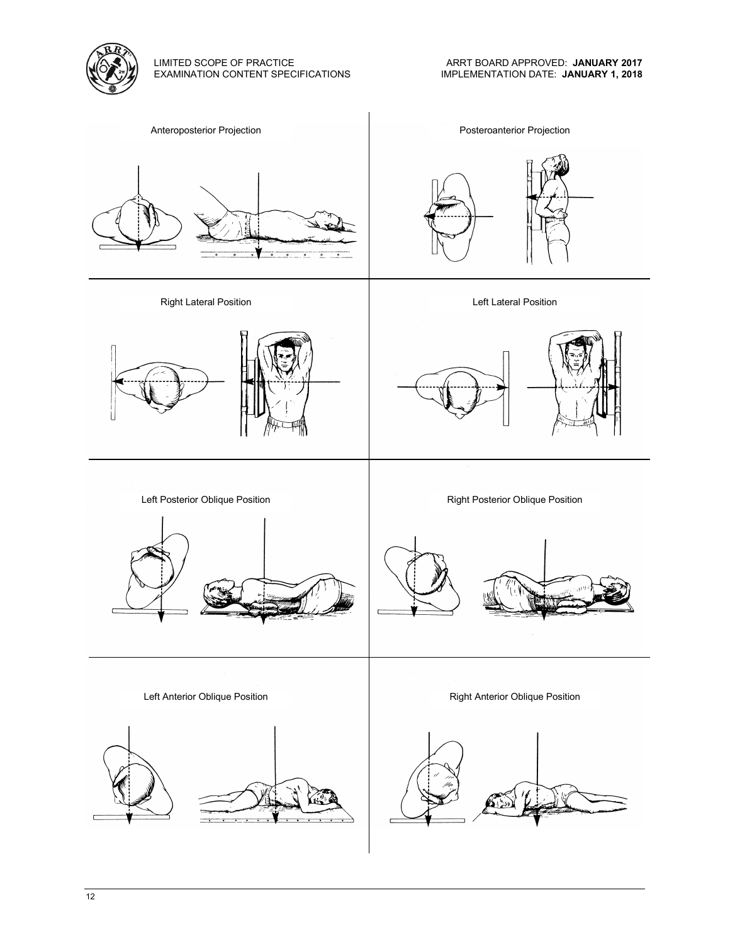

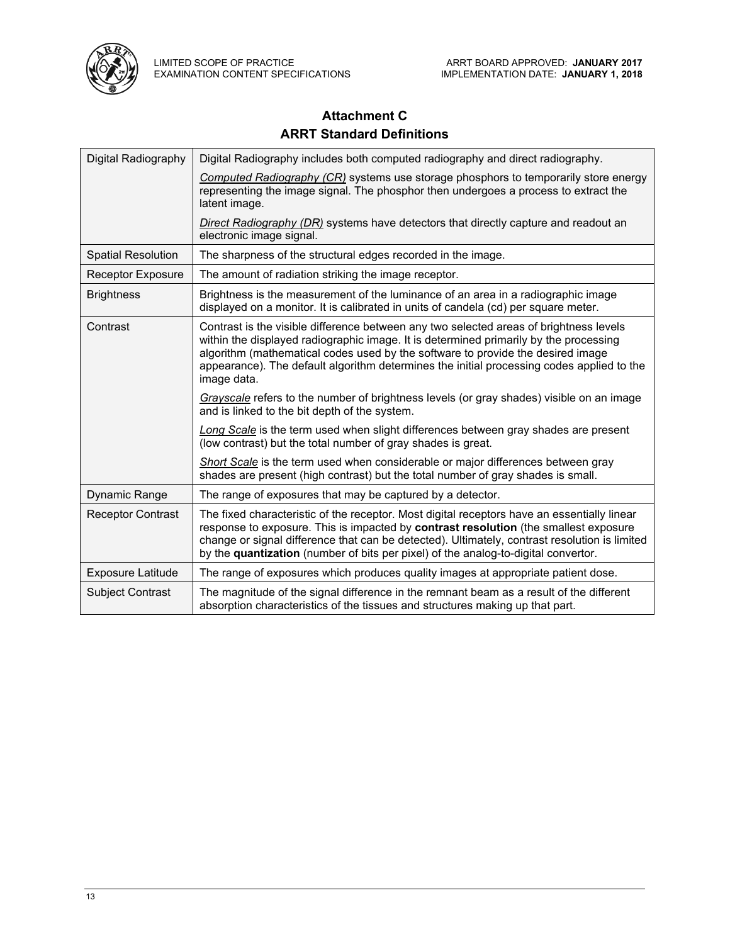

# **Attachment C ARRT Standard Definitions**

| Digital Radiography       | Digital Radiography includes both computed radiography and direct radiography.                                                                                                                                                                                                                                                                                                 |
|---------------------------|--------------------------------------------------------------------------------------------------------------------------------------------------------------------------------------------------------------------------------------------------------------------------------------------------------------------------------------------------------------------------------|
|                           | Computed Radiography (CR) systems use storage phosphors to temporarily store energy<br>representing the image signal. The phosphor then undergoes a process to extract the<br>latent image.                                                                                                                                                                                    |
|                           | <b>Direct Radiography (DR)</b> systems have detectors that directly capture and readout an<br>electronic image signal.                                                                                                                                                                                                                                                         |
| <b>Spatial Resolution</b> | The sharpness of the structural edges recorded in the image.                                                                                                                                                                                                                                                                                                                   |
| <b>Receptor Exposure</b>  | The amount of radiation striking the image receptor.                                                                                                                                                                                                                                                                                                                           |
| <b>Brightness</b>         | Brightness is the measurement of the luminance of an area in a radiographic image<br>displayed on a monitor. It is calibrated in units of candela (cd) per square meter.                                                                                                                                                                                                       |
| Contrast                  | Contrast is the visible difference between any two selected areas of brightness levels<br>within the displayed radiographic image. It is determined primarily by the processing<br>algorithm (mathematical codes used by the software to provide the desired image<br>appearance). The default algorithm determines the initial processing codes applied to the<br>image data. |
|                           | Grayscale refers to the number of brightness levels (or gray shades) visible on an image<br>and is linked to the bit depth of the system.                                                                                                                                                                                                                                      |
|                           | Long Scale is the term used when slight differences between gray shades are present<br>(low contrast) but the total number of gray shades is great.                                                                                                                                                                                                                            |
|                           | Short Scale is the term used when considerable or major differences between gray<br>shades are present (high contrast) but the total number of gray shades is small.                                                                                                                                                                                                           |
| Dynamic Range             | The range of exposures that may be captured by a detector.                                                                                                                                                                                                                                                                                                                     |
| <b>Receptor Contrast</b>  | The fixed characteristic of the receptor. Most digital receptors have an essentially linear<br>response to exposure. This is impacted by contrast resolution (the smallest exposure<br>change or signal difference that can be detected). Ultimately, contrast resolution is limited<br>by the quantization (number of bits per pixel) of the analog-to-digital convertor.     |
| <b>Exposure Latitude</b>  | The range of exposures which produces quality images at appropriate patient dose.                                                                                                                                                                                                                                                                                              |
| <b>Subject Contrast</b>   | The magnitude of the signal difference in the remnant beam as a result of the different<br>absorption characteristics of the tissues and structures making up that part.                                                                                                                                                                                                       |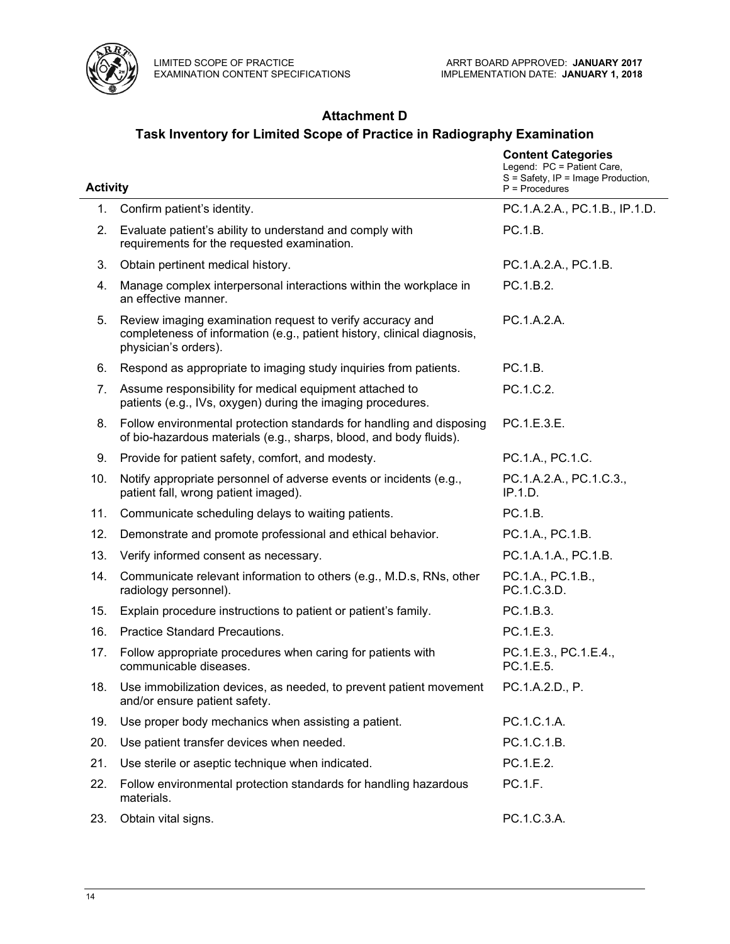

# **Attachment D**

# **Task Inventory for Limited Scope of Practice in Radiography Examination**

| <b>Activity</b> |                                                                                                                                                              | <b>Content Categories</b><br>Legend: PC = Patient Care,<br>S = Safety, IP = Image Production,<br>$P =$ Procedures |
|-----------------|--------------------------------------------------------------------------------------------------------------------------------------------------------------|-------------------------------------------------------------------------------------------------------------------|
| 1.              | Confirm patient's identity.                                                                                                                                  | PC.1.A.2.A., PC.1.B., IP.1.D.                                                                                     |
| 2.              | Evaluate patient's ability to understand and comply with<br>requirements for the requested examination.                                                      | PC.1.B.                                                                                                           |
| 3.              | Obtain pertinent medical history.                                                                                                                            | PC.1.A.2.A., PC.1.B.                                                                                              |
| 4.              | Manage complex interpersonal interactions within the workplace in<br>an effective manner.                                                                    | PC.1.B.2.                                                                                                         |
| 5.              | Review imaging examination request to verify accuracy and<br>completeness of information (e.g., patient history, clinical diagnosis,<br>physician's orders). | PC.1.A.2.A.                                                                                                       |
| 6.              | Respond as appropriate to imaging study inquiries from patients.                                                                                             | PC.1.B.                                                                                                           |
| 7.              | Assume responsibility for medical equipment attached to<br>patients (e.g., IVs, oxygen) during the imaging procedures.                                       | PC.1.C.2.                                                                                                         |
| 8.              | Follow environmental protection standards for handling and disposing<br>of bio-hazardous materials (e.g., sharps, blood, and body fluids).                   | PC.1.E.3.E.                                                                                                       |
| 9.              | Provide for patient safety, comfort, and modesty.                                                                                                            | PC.1.A., PC.1.C.                                                                                                  |
| 10.             | Notify appropriate personnel of adverse events or incidents (e.g.,<br>patient fall, wrong patient imaged).                                                   | PC.1.A.2.A., PC.1.C.3.,<br>IP.1.D.                                                                                |
| 11.             | Communicate scheduling delays to waiting patients.                                                                                                           | PC.1.B.                                                                                                           |
| 12.             | Demonstrate and promote professional and ethical behavior.                                                                                                   | PC.1.A., PC.1.B.                                                                                                  |
| 13.             | Verify informed consent as necessary.                                                                                                                        | PC.1.A.1.A., PC.1.B.                                                                                              |
| 14.             | Communicate relevant information to others (e.g., M.D.s, RNs, other<br>radiology personnel).                                                                 | PC.1.A., PC.1.B.,<br>PC.1.C.3.D.                                                                                  |
| 15.             | Explain procedure instructions to patient or patient's family.                                                                                               | PC.1.B.3.                                                                                                         |
| 16.             | Practice Standard Precautions.                                                                                                                               | PC.1.E.3.                                                                                                         |
| 17.             | Follow appropriate procedures when caring for patients with<br>communicable diseases.                                                                        | PC.1.E.3., PC.1.E.4.,<br>PC.1.E.5.                                                                                |
| 18.             | Use immobilization devices, as needed, to prevent patient movement<br>and/or ensure patient safety.                                                          | PC.1.A.2.D., P.                                                                                                   |
| 19.             | Use proper body mechanics when assisting a patient.                                                                                                          | PC.1.C.1.A.                                                                                                       |
| 20.             | Use patient transfer devices when needed.                                                                                                                    | PC.1.C.1.B.                                                                                                       |
| 21.             | Use sterile or aseptic technique when indicated.                                                                                                             | PC.1.E.2.                                                                                                         |
| 22.             | Follow environmental protection standards for handling hazardous<br>materials.                                                                               | PC.1.F.                                                                                                           |
| 23.             | Obtain vital signs.                                                                                                                                          | PC.1.C.3.A.                                                                                                       |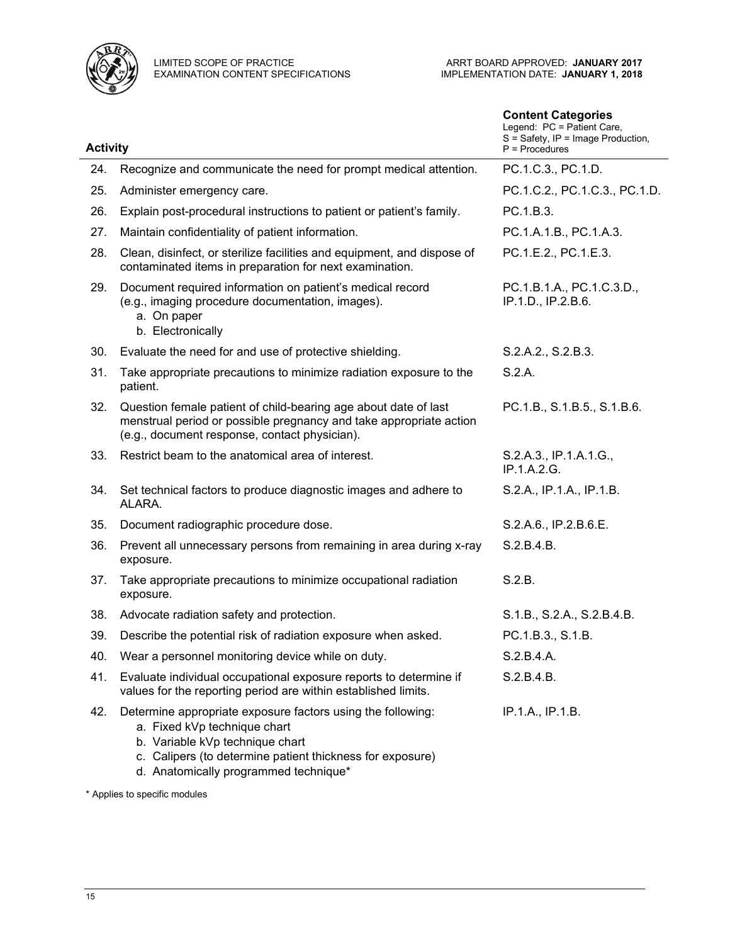

|                 |                                                                                                                                                                                                                                      | <b>Content Categories</b><br>Legend: PC = Patient Care,<br>S = Safety, IP = Image Production, |
|-----------------|--------------------------------------------------------------------------------------------------------------------------------------------------------------------------------------------------------------------------------------|-----------------------------------------------------------------------------------------------|
| <b>Activity</b> |                                                                                                                                                                                                                                      | $P =$ Procedures                                                                              |
| 24.             | Recognize and communicate the need for prompt medical attention.                                                                                                                                                                     | PC.1.C.3., PC.1.D.                                                                            |
| 25.             | Administer emergency care.                                                                                                                                                                                                           | PC.1.C.2., PC.1.C.3., PC.1.D.                                                                 |
| 26.             | Explain post-procedural instructions to patient or patient's family.                                                                                                                                                                 | PC.1.B.3.                                                                                     |
| 27.             | Maintain confidentiality of patient information.                                                                                                                                                                                     | PC.1.A.1.B., PC.1.A.3.                                                                        |
| 28.             | Clean, disinfect, or sterilize facilities and equipment, and dispose of<br>contaminated items in preparation for next examination.                                                                                                   | PC.1.E.2., PC.1.E.3.                                                                          |
| 29.             | Document required information on patient's medical record<br>(e.g., imaging procedure documentation, images).<br>a. On paper<br>b. Electronically                                                                                    | PC.1.B.1.A., PC.1.C.3.D.,<br>IP.1.D., IP.2.B.6.                                               |
| 30.             | Evaluate the need for and use of protective shielding.                                                                                                                                                                               | S.2.A.2., S.2.B.3.                                                                            |
| 31.             | Take appropriate precautions to minimize radiation exposure to the<br>patient.                                                                                                                                                       | S.2.A.                                                                                        |
| 32.             | Question female patient of child-bearing age about date of last<br>menstrual period or possible pregnancy and take appropriate action<br>(e.g., document response, contact physician).                                               | PC.1.B., S.1.B.5., S.1.B.6.                                                                   |
| 33.             | Restrict beam to the anatomical area of interest.                                                                                                                                                                                    | S.2.A.3., IP.1.A.1.G.,<br>IP.1.A.2.G.                                                         |
| 34.             | Set technical factors to produce diagnostic images and adhere to<br>ALARA.                                                                                                                                                           | S.2.A., IP.1.A., IP.1.B.                                                                      |
| 35.             | Document radiographic procedure dose.                                                                                                                                                                                                | S.2.A.6., IP.2.B.6.E.                                                                         |
| 36.             | Prevent all unnecessary persons from remaining in area during x-ray<br>exposure.                                                                                                                                                     | S.2.B.4.B.                                                                                    |
| 37.             | Take appropriate precautions to minimize occupational radiation<br>exposure.                                                                                                                                                         | S.2.B.                                                                                        |
| 38.             | Advocate radiation safety and protection.                                                                                                                                                                                            | S.1.B., S.2.A., S.2.B.4.B.                                                                    |
| 39              | Describe the potential risk of radiation exposure when asked.                                                                                                                                                                        | PC.1.B.3., S.1.B.                                                                             |
| 40.             | Wear a personnel monitoring device while on duty.                                                                                                                                                                                    | S.2.B.4.A.                                                                                    |
| 41.             | Evaluate individual occupational exposure reports to determine if<br>values for the reporting period are within established limits.                                                                                                  | S.2.B.4.B.                                                                                    |
| 42.             | Determine appropriate exposure factors using the following:<br>a. Fixed kVp technique chart<br>b. Variable kVp technique chart<br>c. Calipers (to determine patient thickness for exposure)<br>d. Anatomically programmed technique* | IP.1.A., IP.1.B.                                                                              |

\* Applies to specific modules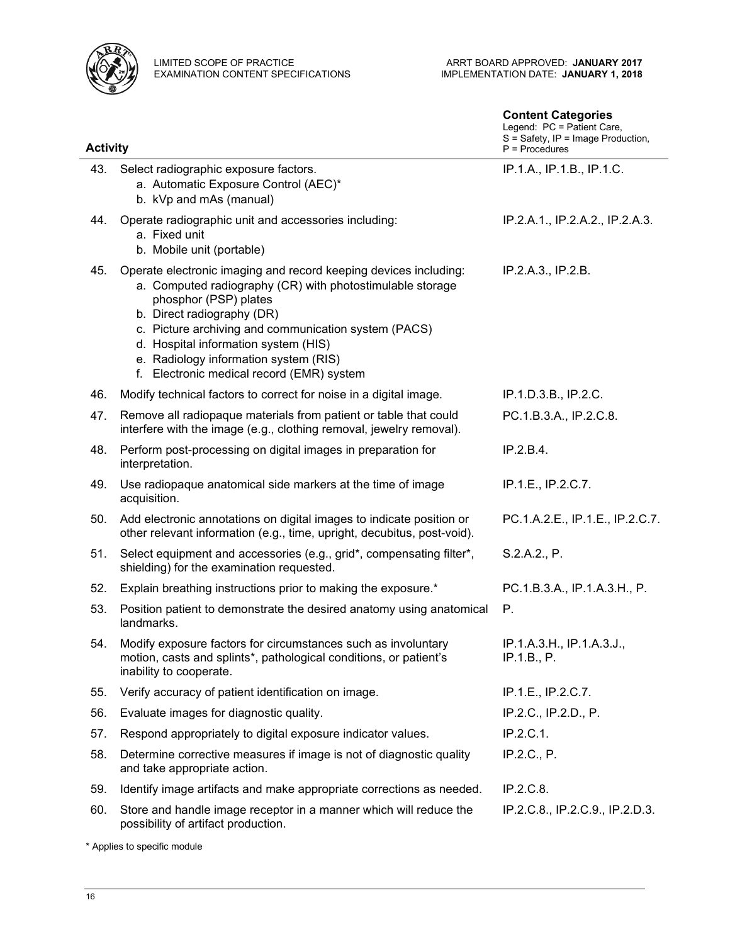

| <b>Activity</b> |                                                                                                                                                                                                                                                                                                                                                                            | <b>Content Categories</b><br>Legend: PC = Patient Care,<br>S = Safety, IP = Image Production,<br>$P = Procedures$ |
|-----------------|----------------------------------------------------------------------------------------------------------------------------------------------------------------------------------------------------------------------------------------------------------------------------------------------------------------------------------------------------------------------------|-------------------------------------------------------------------------------------------------------------------|
| 43.             | Select radiographic exposure factors.<br>a. Automatic Exposure Control (AEC)*<br>b. kVp and mAs (manual)                                                                                                                                                                                                                                                                   | IP.1.A., IP.1.B., IP.1.C.                                                                                         |
| 44.             | Operate radiographic unit and accessories including:<br>a. Fixed unit<br>b. Mobile unit (portable)                                                                                                                                                                                                                                                                         | IP.2.A.1., IP.2.A.2., IP.2.A.3.                                                                                   |
| 45.             | Operate electronic imaging and record keeping devices including:<br>a. Computed radiography (CR) with photostimulable storage<br>phosphor (PSP) plates<br>b. Direct radiography (DR)<br>c. Picture archiving and communication system (PACS)<br>d. Hospital information system (HIS)<br>e. Radiology information system (RIS)<br>f. Electronic medical record (EMR) system | IP.2.A.3., IP.2.B.                                                                                                |
| 46.             | Modify technical factors to correct for noise in a digital image.                                                                                                                                                                                                                                                                                                          | IP.1.D.3.B., IP.2.C.                                                                                              |
| 47.             | Remove all radiopaque materials from patient or table that could<br>interfere with the image (e.g., clothing removal, jewelry removal).                                                                                                                                                                                                                                    | PC.1.B.3.A., IP.2.C.8.                                                                                            |
| 48.             | Perform post-processing on digital images in preparation for<br>interpretation.                                                                                                                                                                                                                                                                                            | IP.2.B.4.                                                                                                         |
| 49.             | Use radiopaque anatomical side markers at the time of image<br>acquisition.                                                                                                                                                                                                                                                                                                | IP.1.E., IP.2.C.7.                                                                                                |
| 50.             | Add electronic annotations on digital images to indicate position or<br>other relevant information (e.g., time, upright, decubitus, post-void).                                                                                                                                                                                                                            | PC.1.A.2.E., IP.1.E., IP.2.C.7.                                                                                   |
| 51.             | Select equipment and accessories (e.g., grid*, compensating filter*,<br>shielding) for the examination requested.                                                                                                                                                                                                                                                          | S.2.A.2., P.                                                                                                      |
| 52.             | Explain breathing instructions prior to making the exposure.*                                                                                                                                                                                                                                                                                                              | PC.1.B.3.A., IP.1.A.3.H., P.                                                                                      |
| 53.             | Position patient to demonstrate the desired anatomy using anatomical<br>landmarks.                                                                                                                                                                                                                                                                                         | Р.                                                                                                                |
| 54.             | Modify exposure factors for circumstances such as involuntary<br>motion, casts and splints*, pathological conditions, or patient's<br>inability to cooperate.                                                                                                                                                                                                              | IP.1.A.3.H., IP.1.A.3.J.,<br>IP.1.B., P.                                                                          |
| 55.             | Verify accuracy of patient identification on image.                                                                                                                                                                                                                                                                                                                        | IP.1.E., IP.2.C.7.                                                                                                |
| 56.             | Evaluate images for diagnostic quality.                                                                                                                                                                                                                                                                                                                                    | IP.2.C., IP.2.D., P.                                                                                              |
| 57.             | Respond appropriately to digital exposure indicator values.                                                                                                                                                                                                                                                                                                                | IP.2.C.1.                                                                                                         |
| 58.             | Determine corrective measures if image is not of diagnostic quality<br>and take appropriate action.                                                                                                                                                                                                                                                                        | IP.2.C., P.                                                                                                       |
| 59.             | Identify image artifacts and make appropriate corrections as needed.                                                                                                                                                                                                                                                                                                       | IP.2.C.8.                                                                                                         |
| 60.             | Store and handle image receptor in a manner which will reduce the<br>possibility of artifact production.                                                                                                                                                                                                                                                                   | IP.2.C.8., IP.2.C.9., IP.2.D.3.                                                                                   |

\* Applies to specific module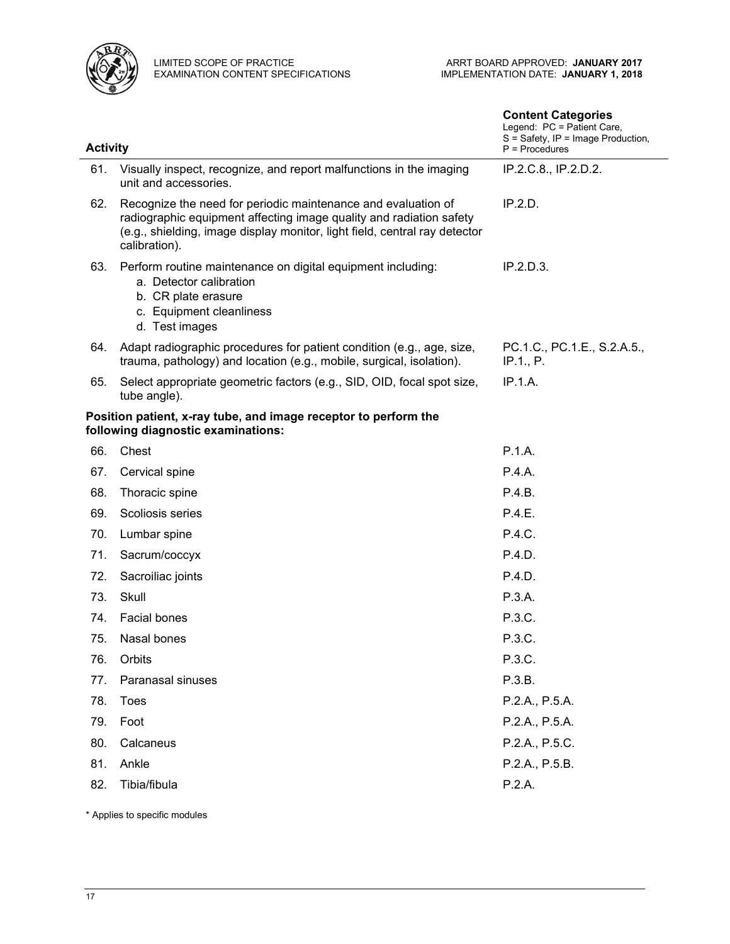

|                 |                                                                                                                                                                                                                                     | <b>Content Categories</b><br>Legend: PC = Patient Care,<br>S = Safety, IP = Image Production, |
|-----------------|-------------------------------------------------------------------------------------------------------------------------------------------------------------------------------------------------------------------------------------|-----------------------------------------------------------------------------------------------|
| <b>Activity</b> |                                                                                                                                                                                                                                     | $P =$ Procedures                                                                              |
| 61.             | Visually inspect, recognize, and report malfunctions in the imaging<br>unit and accessories.                                                                                                                                        | IP.2.C.8., IP.2.D.2.                                                                          |
| 62.             | Recognize the need for periodic maintenance and evaluation of<br>radiographic equipment affecting image quality and radiation safety<br>(e.g., shielding, image display monitor, light field, central ray detector<br>calibration). | IP.2.D.                                                                                       |
| 63.             | Perform routine maintenance on digital equipment including:<br>a. Detector calibration<br>b. CR plate erasure<br>c. Equipment cleanliness<br>d. Test images                                                                         | IP.2.D.3.                                                                                     |
| 64.             | Adapt radiographic procedures for patient condition (e.g., age, size,<br>trauma, pathology) and location (e.g., mobile, surgical, isolation).                                                                                       | PC.1.C., PC.1.E., S.2.A.5.,<br>IP.1., P.                                                      |
| 65.             | Select appropriate geometric factors (e.g., SID, OID, focal spot size,<br>tube angle).                                                                                                                                              | IP.1.A.                                                                                       |
|                 | Position patient, x-ray tube, and image receptor to perform the<br>following diagnostic examinations:                                                                                                                               |                                                                                               |
| 66.             | Chest                                                                                                                                                                                                                               | P.1.A.                                                                                        |
| 67.             | Cervical spine                                                                                                                                                                                                                      | P.4.A.                                                                                        |
| 68.             | Thoracic spine                                                                                                                                                                                                                      | P.4.B.                                                                                        |
| 69.             | Scoliosis series                                                                                                                                                                                                                    | P.4.E.                                                                                        |
| 70.             | Lumbar spine                                                                                                                                                                                                                        | P.4.C.                                                                                        |
| 71.             | Sacrum/coccyx                                                                                                                                                                                                                       | P.4.D.                                                                                        |
| 72.             | Sacroiliac joints                                                                                                                                                                                                                   | P.4.D.                                                                                        |
| 73.             | Skull                                                                                                                                                                                                                               | P.3.A.                                                                                        |
| 74.             | Facial bones                                                                                                                                                                                                                        | P.3.C.                                                                                        |
| 75.             | Nasal bones                                                                                                                                                                                                                         | P.3.C.                                                                                        |
| 76.             | Orbits                                                                                                                                                                                                                              | P.3.C.                                                                                        |
| 77.             | Paranasal sinuses                                                                                                                                                                                                                   | P.3.B.                                                                                        |
| 78.             | Toes                                                                                                                                                                                                                                | P.2.A., P.5.A.                                                                                |
| 79.             | Foot                                                                                                                                                                                                                                | P.2.A., P.5.A.                                                                                |
| 80.             | Calcaneus                                                                                                                                                                                                                           | P.2.A., P.5.C.                                                                                |
| 81.             | Ankle                                                                                                                                                                                                                               | P.2.A., P.5.B.                                                                                |
| 82.             | Tibia/fibula                                                                                                                                                                                                                        | P.2.A.                                                                                        |

\* Applies to specific modules